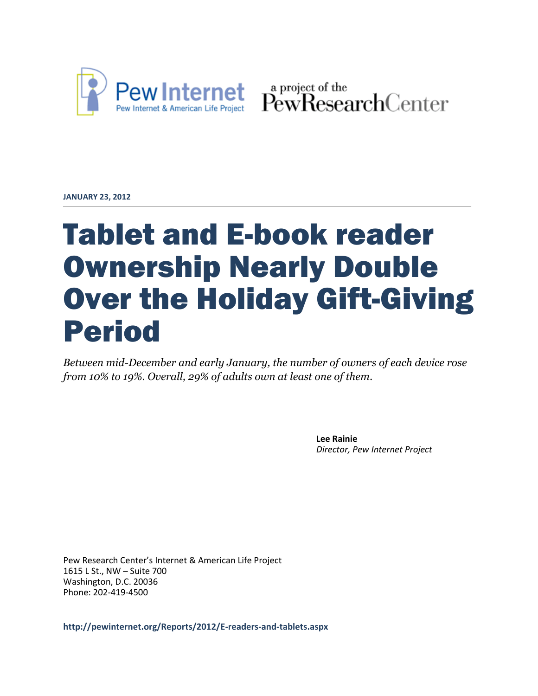

Pew Internet & American Life Project PewResearchCenter

**JANUARY 23, 2012**

# Tablet and E-book reader Ownership Nearly Double Over the Holiday Gift-Giving Period

*Between mid-December and early January, the number of owners of each device rose from 10% to 19%. Overall, 29% of adults own at least one of them.*

> **Lee Rainie** *Director, Pew Internet Project*

Pew Research Center's Internet & American Life Project 1615 L St., NW – Suite 700 Washington, D.C. 20036 Phone: 202-419-4500

**http://pewinternet.org/Reports/2012/E-readers-and-tablets.aspx**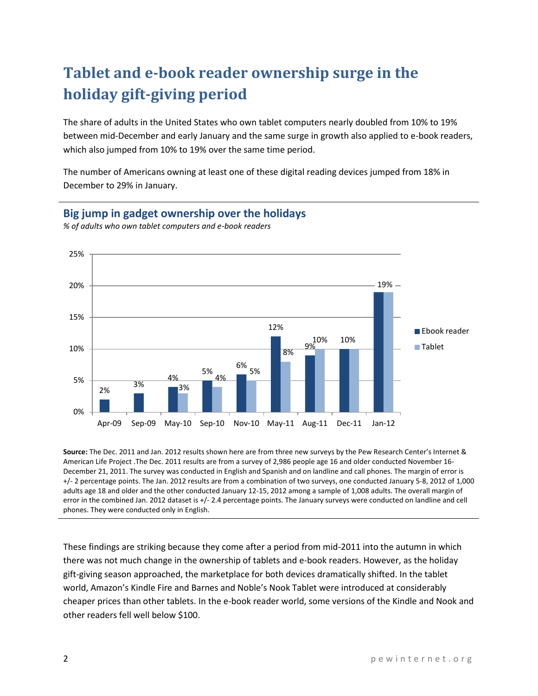## **Tablet and e-book reader ownership surge in the holiday gift-giving period**

The share of adults in the United States who own tablet computers nearly doubled from 10% to 19% between mid-December and early January and the same surge in growth also applied to e-book readers, which also jumped from 10% to 19% over the same time period.

The number of Americans owning at least one of these digital reading devices jumped from 18% in December to 29% in January.

## **Big jump in gadget ownership over the holidays**



*% of adults who own tablet computers and e-book readers*

**Source:** The Dec. 2011 and Jan. 2012 results shown here are from three new surveys by the Pew Research Center's Internet & American Life Project .The Dec. 2011 results are from a survey of 2,986 people age 16 and older conducted November 16- December 21, 2011. The survey was conducted in English and Spanish and on landline and call phones. The margin of error is +/- 2 percentage points. The Jan. 2012 results are from a combination of two surveys, one conducted January 5-8, 2012 of 1,000 adults age 18 and older and the other conducted January 12-15, 2012 among a sample of 1,008 adults. The overall margin of error in the combined Jan. 2012 dataset is +/- 2.4 percentage points. The January surveys were conducted on landline and cell phones. They were conducted only in English.

These findings are striking because they come after a period from mid-2011 into the autumn in which there was not much change in the ownership of tablets and e-book readers. However, as the holiday gift-giving season approached, the marketplace for both devices dramatically shifted. In the tablet world, Amazon's Kindle Fire and Barnes and Noble's Nook Tablet were introduced at considerably cheaper prices than other tablets. In the e-book reader world, some versions of the Kindle and Nook and other readers fell well below \$100.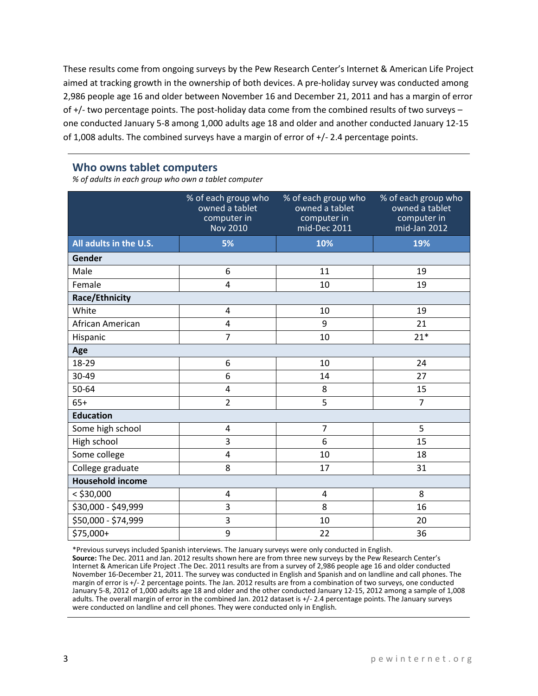These results come from ongoing surveys by the Pew Research Center's Internet & American Life Project aimed at tracking growth in the ownership of both devices. A pre-holiday survey was conducted among 2,986 people age 16 and older between November 16 and December 21, 2011 and has a margin of error of +/- two percentage points. The post-holiday data come from the combined results of two surveys – one conducted January 5-8 among 1,000 adults age 18 and older and another conducted January 12-15 of 1,008 adults. The combined surveys have a margin of error of +/- 2.4 percentage points.

#### **Who owns tablet computers**

*% of adults in each group who own a tablet computer*

|                         | % of each group who<br>owned a tablet<br>computer in<br><b>Nov 2010</b> | % of each group who<br>owned a tablet<br>computer in<br>mid-Dec 2011 | % of each group who<br>owned a tablet<br>computer in<br>mid-Jan 2012 |
|-------------------------|-------------------------------------------------------------------------|----------------------------------------------------------------------|----------------------------------------------------------------------|
| All adults in the U.S.  | 5%                                                                      | 10%                                                                  | 19%                                                                  |
| Gender                  |                                                                         |                                                                      |                                                                      |
| Male                    | 6                                                                       | 11                                                                   | 19                                                                   |
| Female                  | 4                                                                       | 10                                                                   | 19                                                                   |
| Race/Ethnicity          |                                                                         |                                                                      |                                                                      |
| White                   | 4                                                                       | 10                                                                   | 19                                                                   |
| African American        | 4                                                                       | 9                                                                    | 21                                                                   |
| Hispanic                | $\overline{7}$                                                          | 10                                                                   | $21*$                                                                |
| Age                     |                                                                         |                                                                      |                                                                      |
| 18-29                   | 6                                                                       | 10                                                                   | 24                                                                   |
| 30-49                   | 6                                                                       | 14                                                                   | 27                                                                   |
| 50-64                   | 4                                                                       | 8                                                                    | 15                                                                   |
| $65+$                   | $\overline{2}$                                                          | 5                                                                    | $\overline{7}$                                                       |
| <b>Education</b>        |                                                                         |                                                                      |                                                                      |
| Some high school        | 4                                                                       | $\overline{7}$                                                       | 5                                                                    |
| High school             | 3                                                                       | 6                                                                    | 15                                                                   |
| Some college            | 4                                                                       | 10                                                                   | 18                                                                   |
| College graduate        | 8                                                                       | 17                                                                   | 31                                                                   |
| <b>Household income</b> |                                                                         |                                                                      |                                                                      |
| $<$ \$30,000            | 4                                                                       | 4                                                                    | 8                                                                    |
| \$30,000 - \$49,999     | 3                                                                       | 8                                                                    | 16                                                                   |
| \$50,000 - \$74,999     | 3                                                                       | 10                                                                   | 20                                                                   |
| \$75,000+               | 9                                                                       | 22                                                                   | 36                                                                   |

\*Previous surveys included Spanish interviews. The January surveys were only conducted in English.

**Source:** The Dec. 2011 and Jan. 2012 results shown here are from three new surveys by the Pew Research Center's Internet & American Life Project .The Dec. 2011 results are from a survey of 2,986 people age 16 and older conducted November 16-December 21, 2011. The survey was conducted in English and Spanish and on landline and call phones. The margin of error is +/- 2 percentage points. The Jan. 2012 results are from a combination of two surveys, one conducted January 5-8, 2012 of 1,000 adults age 18 and older and the other conducted January 12-15, 2012 among a sample of 1,008 adults. The overall margin of error in the combined Jan. 2012 dataset is +/- 2.4 percentage points. The January surveys were conducted on landline and cell phones. They were conducted only in English.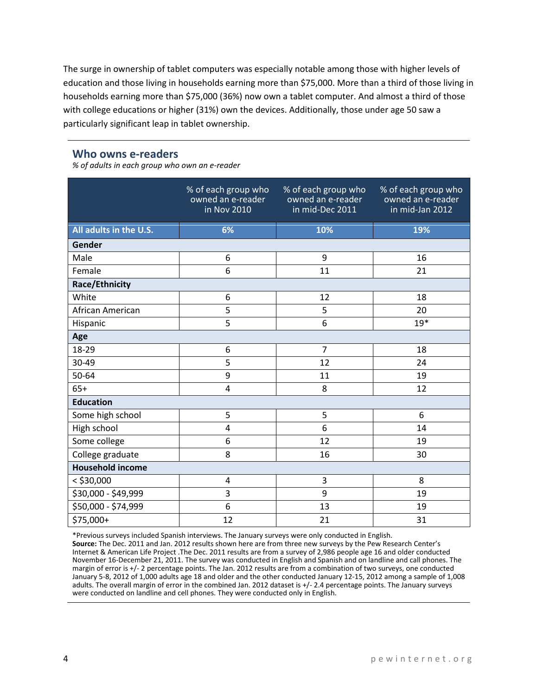The surge in ownership of tablet computers was especially notable among those with higher levels of education and those living in households earning more than \$75,000. More than a third of those living in households earning more than \$75,000 (36%) now own a tablet computer. And almost a third of those with college educations or higher (31%) own the devices. Additionally, those under age 50 saw a particularly significant leap in tablet ownership.

#### **Who owns e-readers**

*% of adults in each group who own an e-reader*

|                         | % of each group who<br>owned an e-reader<br>in Nov 2010 | % of each group who<br>owned an e-reader<br>in mid-Dec 2011 | % of each group who<br>owned an e-reader<br>in mid-Jan 2012 |
|-------------------------|---------------------------------------------------------|-------------------------------------------------------------|-------------------------------------------------------------|
| All adults in the U.S.  | 6%                                                      | 10%                                                         | 19%                                                         |
| Gender                  |                                                         |                                                             |                                                             |
| Male                    | 6                                                       | 9                                                           | 16                                                          |
| Female                  | 6                                                       | 11                                                          | 21                                                          |
| <b>Race/Ethnicity</b>   |                                                         |                                                             |                                                             |
| White                   | 6                                                       | 12                                                          | 18                                                          |
| African American        | 5                                                       | 5                                                           | 20                                                          |
| Hispanic                | 5                                                       | 6                                                           | $19*$                                                       |
| Age                     |                                                         |                                                             |                                                             |
| 18-29                   | 6                                                       | $\overline{7}$                                              | 18                                                          |
| 30-49                   | 5                                                       | 12                                                          | 24                                                          |
| 50-64                   | 9                                                       | 11                                                          | 19                                                          |
| $65+$                   | 4                                                       | 8                                                           | 12                                                          |
| <b>Education</b>        |                                                         |                                                             |                                                             |
| Some high school        | 5                                                       | 5                                                           | 6                                                           |
| High school             | $\overline{4}$                                          | 6                                                           | 14                                                          |
| Some college            | 6                                                       | 12                                                          | 19                                                          |
| College graduate        | 8                                                       | 16                                                          | 30                                                          |
| <b>Household income</b> |                                                         |                                                             |                                                             |
| $<$ \$30,000            | 4                                                       | 3                                                           | 8                                                           |
| \$30,000 - \$49,999     | 3                                                       | 9                                                           | 19                                                          |
| \$50,000 - \$74,999     | 6                                                       | 13                                                          | 19                                                          |
| \$75,000+               | 12                                                      | 21                                                          | 31                                                          |

\*Previous surveys included Spanish interviews. The January surveys were only conducted in English. **Source:** The Dec. 2011 and Jan. 2012 results shown here are from three new surveys by the Pew Research Center's Internet & American Life Project .The Dec. 2011 results are from a survey of 2,986 people age 16 and older conducted November 16-December 21, 2011. The survey was conducted in English and Spanish and on landline and call phones. The margin of error is +/- 2 percentage points. The Jan. 2012 results are from a combination of two surveys, one conducted January 5-8, 2012 of 1,000 adults age 18 and older and the other conducted January 12-15, 2012 among a sample of 1,008 adults. The overall margin of error in the combined Jan. 2012 dataset is +/- 2.4 percentage points. The January surveys were conducted on landline and cell phones. They were conducted only in English.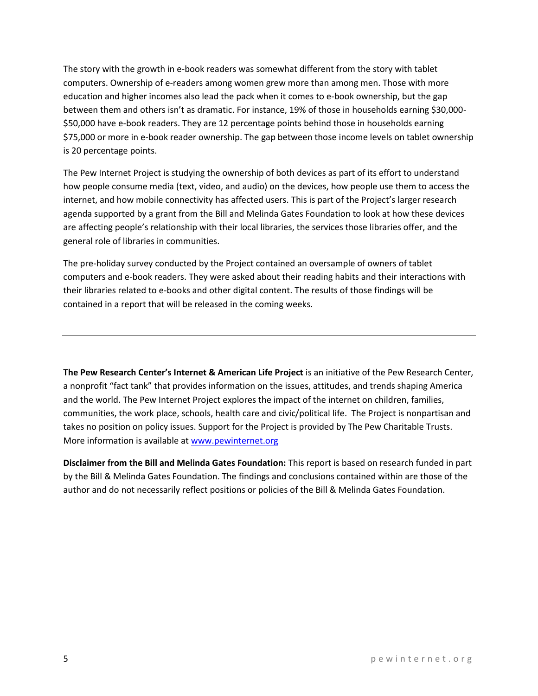The story with the growth in e-book readers was somewhat different from the story with tablet computers. Ownership of e-readers among women grew more than among men. Those with more education and higher incomes also lead the pack when it comes to e-book ownership, but the gap between them and others isn't as dramatic. For instance, 19% of those in households earning \$30,000- \$50,000 have e-book readers. They are 12 percentage points behind those in households earning \$75,000 or more in e-book reader ownership. The gap between those income levels on tablet ownership is 20 percentage points.

The Pew Internet Project is studying the ownership of both devices as part of its effort to understand how people consume media (text, video, and audio) on the devices, how people use them to access the internet, and how mobile connectivity has affected users. This is part of the Project's larger research agenda supported by a grant from the Bill and Melinda Gates Foundation to look at how these devices are affecting people's relationship with their local libraries, the services those libraries offer, and the general role of libraries in communities.

The pre-holiday survey conducted by the Project contained an oversample of owners of tablet computers and e-book readers. They were asked about their reading habits and their interactions with their libraries related to e-books and other digital content. The results of those findings will be contained in a report that will be released in the coming weeks.

**The Pew Research Center's Internet & American Life Project** is an initiative of the Pew Research Center, a nonprofit "fact tank" that provides information on the issues, attitudes, and trends shaping America and the world. The Pew Internet Project explores the impact of the internet on children, families, communities, the work place, schools, health care and civic/political life. The Project is nonpartisan and takes no position on policy issues. Support for the Project is provided by The Pew Charitable Trusts. More information is available a[t www.pewinternet.org](http://www.pewinternet.org/)

**Disclaimer from the Bill and Melinda Gates Foundation:** This report is based on research funded in part by the Bill & Melinda Gates Foundation. The findings and conclusions contained within are those of the author and do not necessarily reflect positions or policies of the Bill & Melinda Gates Foundation.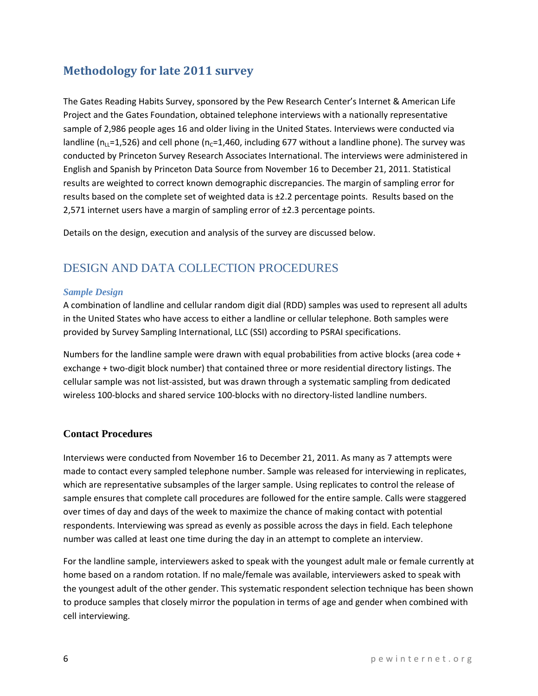## **Methodology for late 2011 survey**

The Gates Reading Habits Survey, sponsored by the Pew Research Center's Internet & American Life Project and the Gates Foundation, obtained telephone interviews with a nationally representative sample of 2,986 people ages 16 and older living in the United States. Interviews were conducted via landline ( $n_{\text{L}}$ =1,526) and cell phone ( $n_{\text{c}}$ =1,460, including 677 without a landline phone). The survey was conducted by Princeton Survey Research Associates International. The interviews were administered in English and Spanish by Princeton Data Source from November 16 to December 21, 2011. Statistical results are weighted to correct known demographic discrepancies. The margin of sampling error for results based on the complete set of weighted data is  $\pm 2.2$  percentage points. Results based on the 2,571 internet users have a margin of sampling error of ±2.3 percentage points.

Details on the design, execution and analysis of the survey are discussed below.

## DESIGN AND DATA COLLECTION PROCEDURES

#### *Sample Design*

A combination of landline and cellular random digit dial (RDD) samples was used to represent all adults in the United States who have access to either a landline or cellular telephone. Both samples were provided by Survey Sampling International, LLC (SSI) according to PSRAI specifications.

Numbers for the landline sample were drawn with equal probabilities from active blocks (area code + exchange + two-digit block number) that contained three or more residential directory listings. The cellular sample was not list-assisted, but was drawn through a systematic sampling from dedicated wireless 100-blocks and shared service 100-blocks with no directory-listed landline numbers.

### **Contact Procedures**

Interviews were conducted from November 16 to December 21, 2011. As many as 7 attempts were made to contact every sampled telephone number. Sample was released for interviewing in replicates, which are representative subsamples of the larger sample. Using replicates to control the release of sample ensures that complete call procedures are followed for the entire sample. Calls were staggered over times of day and days of the week to maximize the chance of making contact with potential respondents. Interviewing was spread as evenly as possible across the days in field. Each telephone number was called at least one time during the day in an attempt to complete an interview.

For the landline sample, interviewers asked to speak with the youngest adult male or female currently at home based on a random rotation. If no male/female was available, interviewers asked to speak with the youngest adult of the other gender. This systematic respondent selection technique has been shown to produce samples that closely mirror the population in terms of age and gender when combined with cell interviewing.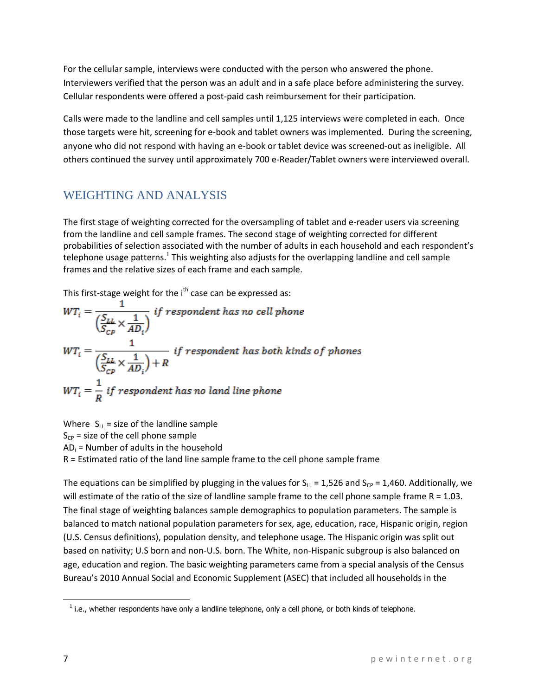For the cellular sample, interviews were conducted with the person who answered the phone. Interviewers verified that the person was an adult and in a safe place before administering the survey. Cellular respondents were offered a post-paid cash reimbursement for their participation.

Calls were made to the landline and cell samples until 1,125 interviews were completed in each. Once those targets were hit, screening for e-book and tablet owners was implemented. During the screening, anyone who did not respond with having an e-book or tablet device was screened-out as ineligible. All others continued the survey until approximately 700 e-Reader/Tablet owners were interviewed overall.

## WEIGHTING AND ANALYSIS

The first stage of weighting corrected for the oversampling of tablet and e-reader users via screening from the landline and cell sample frames. The second stage of weighting corrected for different probabilities of selection associated with the number of adults in each household and each respondent's telephone usage patterns.<sup>1</sup> This weighting also adjusts for the overlapping landline and cell sample frames and the relative sizes of each frame and each sample.

This first-stage weight for the  $i<sup>th</sup>$  case can be expressed as:

$$
WT_i = \frac{1}{\left(\frac{S_{LL}}{S_{CP}} \times \frac{1}{AD_i}\right)} \text{ if respondent has no cell phone}
$$
\n
$$
WT_i = \frac{1}{\left(\frac{S_{LL}}{S_{CP}} \times \frac{1}{AD_i}\right) + R} \text{ if respondent has both kinds of phones}
$$
\n
$$
WT_i = \frac{1}{R} \text{ if respondent has no land line phone}
$$

Where  $S_{LL}$  = size of the landline sample  $S_{CP}$  = size of the cell phone sample  $AD_i$  = Number of adults in the household R = Estimated ratio of the land line sample frame to the cell phone sample frame

The equations can be simplified by plugging in the values for  $S_{LL} = 1,526$  and  $S_{CP} = 1,460$ . Additionally, we will estimate of the ratio of the size of landline sample frame to the cell phone sample frame  $R = 1.03$ . The final stage of weighting balances sample demographics to population parameters. The sample is balanced to match national population parameters for sex, age, education, race, Hispanic origin, region (U.S. Census definitions), population density, and telephone usage. The Hispanic origin was split out based on nativity; U.S born and non-U.S. born. The White, non-Hispanic subgroup is also balanced on age, education and region. The basic weighting parameters came from a special analysis of the Census Bureau's 2010 Annual Social and Economic Supplement (ASEC) that included all households in the

 $\overline{\phantom{a}}$ 

 $<sup>1</sup>$  i.e., whether respondents have only a landline telephone, only a cell phone, or both kinds of telephone.</sup>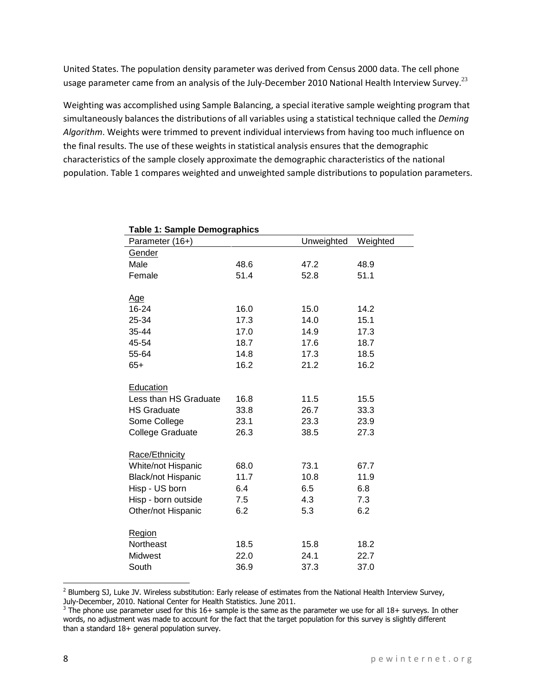United States. The population density parameter was derived from Census 2000 data. The cell phone usage parameter came from an analysis of the July-December 2010 National Health Interview Survey.<sup>23</sup>

Weighting was accomplished using Sample Balancing, a special iterative sample weighting program that simultaneously balances the distributions of all variables using a statistical technique called the *Deming Algorithm*. Weights were trimmed to prevent individual interviews from having too much influence on the final results. The use of these weights in statistical analysis ensures that the demographic characteristics of the sample closely approximate the demographic characteristics of the national population. Table 1 compares weighted and unweighted sample distributions to population parameters.

| ι αυισ τι σαπιρισ σσιπογιαριπος |      |            |          |
|---------------------------------|------|------------|----------|
| Parameter (16+)                 |      | Unweighted | Weighted |
| <b>Gender</b>                   |      |            |          |
| Male                            | 48.6 | 47.2       | 48.9     |
| Female                          | 51.4 | 52.8       | 51.1     |
|                                 |      |            |          |
| <u>Age</u>                      |      |            |          |
| 16-24                           | 16.0 | 15.0       | 14.2     |
| 25-34                           | 17.3 | 14.0       | 15.1     |
| 35-44                           | 17.0 | 14.9       | 17.3     |
| 45-54                           | 18.7 | 17.6       | 18.7     |
| 55-64                           | 14.8 | 17.3       | 18.5     |
| 65+                             | 16.2 | 21.2       | 16.2     |
|                                 |      |            |          |
| Education                       |      |            |          |
| Less than HS Graduate           | 16.8 | 11.5       | 15.5     |
| <b>HS Graduate</b>              | 33.8 | 26.7       | 33.3     |
| Some College                    | 23.1 | 23.3       | 23.9     |
| College Graduate                | 26.3 | 38.5       | 27.3     |
|                                 |      |            |          |
| Race/Ethnicity                  |      |            |          |
| White/not Hispanic              | 68.0 | 73.1       | 67.7     |
| <b>Black/not Hispanic</b>       | 11.7 | 10.8       | 11.9     |
| Hisp - US born                  | 6.4  | 6.5        | 6.8      |
| Hisp - born outside             | 7.5  | 4.3        | 7.3      |
| Other/not Hispanic              | 6.2  | 5.3        | 6.2      |
|                                 |      |            |          |
| <b>Region</b>                   |      |            |          |
| Northeast                       | 18.5 | 15.8       | 18.2     |
| Midwest                         | 22.0 | 24.1       | 22.7     |
| South                           | 36.9 | 37.3       | 37.0     |

|  |  | <b>Table 1: Sample Demographics</b> |  |  |  |
|--|--|-------------------------------------|--|--|--|
|  |  |                                     |  |  |  |

 $\overline{\phantom{a}}$ 

<sup>&</sup>lt;sup>2</sup> Blumberg SJ, Luke JV. Wireless substitution: Early release of estimates from the National Health Interview Survey,

July-December, 2010. National Center for Health Statistics. June 2011.<br><sup>3</sup> The phone use parameter used for this 16+ sample is the same as the parameter we use for all 18+ surveys. In other words, no adjustment was made to account for the fact that the target population for this survey is slightly different than a standard 18+ general population survey.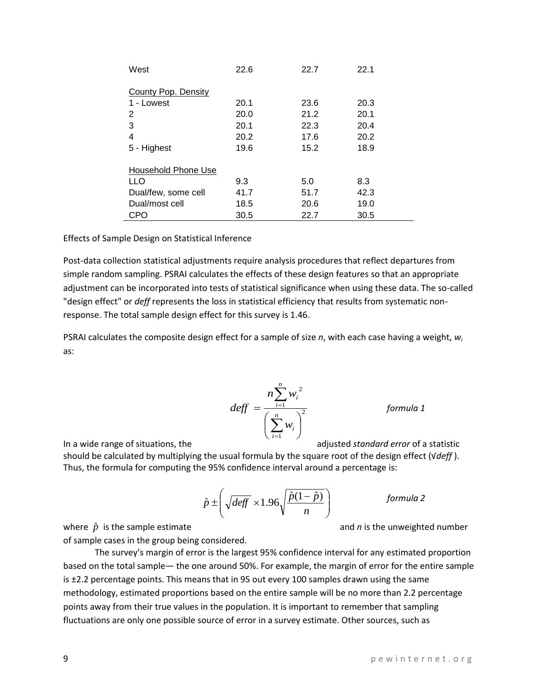|   | fluctuations are only one possible source of error in a survey estimate. Other sources, such as |
|---|-------------------------------------------------------------------------------------------------|
|   |                                                                                                 |
| Q | pewinternet.org                                                                                 |

 $\overline{\phantom{a}}$  $\bigg)$ 

*n*

of sample cases in the group being considered. The survey's margin of error is the largest 95% confidence interval for any estimated proportion based on the total sample— the one around 50%. For example, the margin of error for the entire sample is ±2.2 percentage points. This means that in 95 out every 100 samples drawn using the same methodology, estimated proportions based on the entire sample will be no more than 2.2 percentage points away from their true values in the population. It is important to remember that sampling

where  $\hat{p}$ 

 $\backslash$  $\pm \int \sqrt{deff} \times 1.96 \sqrt{\frac{\hat{p}(1-\hat{p})}{2}}$  $\hat{p} \pm \left( \sqrt{\text{def} f} \times 1.96 \sqrt{\frac{\hat{p}(1-\hat{p})}{n}} \right)$ 

 $\overline{\phantom{a}}$  $\setminus$ 

In a wide range of situations, the adjusted *standard error* of a statistic should be calculated by multiplying the usual formula by the square root of the design effect (√*deff* ). Thus, the formula for computing the 95% confidence interval around a percentage is:

"design effect" or *deff* represents the loss in statistical efficiency that results from systematic nonresponse. The total sample design effect for this survey is 1.46.

Effects of Sample Design on Statistical Inference

PSRAI calculates the composite design effect for a sample of size *n*, with each case having a weight, *w<sup>i</sup>* as:

Post-data collection statistical adjustments require analysis procedures that reflect departures from simple random sampling. PSRAI calculates the effects of these design features so that an appropriate adjustment can be incorporated into tests of statistical significance when using these data. The so-called

 $\frac{1}{2}$ 1  $\overline{\phantom{a}}$ J  $\left(\sum_{i=1}^{n}w_i\right)$  $\setminus$ ſ  $=$  $\sum^{n}$  $\sum_{i=1}^n$  $\overline{a}$ *n i i i w deff*

2

*i*

*n*

 $n\sum w$ 

*formula 1*

and *n* is the unweighted number

*formula 2*

|                     | 9.3  | 5.0  | 8.3  |
|---------------------|------|------|------|
| Dual/few, some cell | 41.7 | 51.7 | 42.3 |
| Dual/most cell      | 18.5 | 20.6 | 19.0 |
| CPO                 | 30.5 | 22 Z | 30.5 |
|                     |      |      |      |

| West                | 22.6 | 22.7 | 22.1 |
|---------------------|------|------|------|
| County Pop. Density |      |      |      |
| 1 - Lowest          | 20.1 | 23.6 | 20.3 |
| 2                   | 20.0 | 21.2 | 20.1 |
| 3                   | 20.1 | 22.3 | 20.4 |
| 4                   | 20.2 | 17.6 | 20.2 |
| 5 - Highest         | 19.6 | 15.2 | 18.9 |
| Household Phone Use |      |      |      |
| LLO                 | 9.3  | 5.0  | 8.3  |
| Dual/few, some cell | 41.7 | 51.7 | 42.3 |
| Dual/most cell      | 18.5 | 20.6 | 19.0 |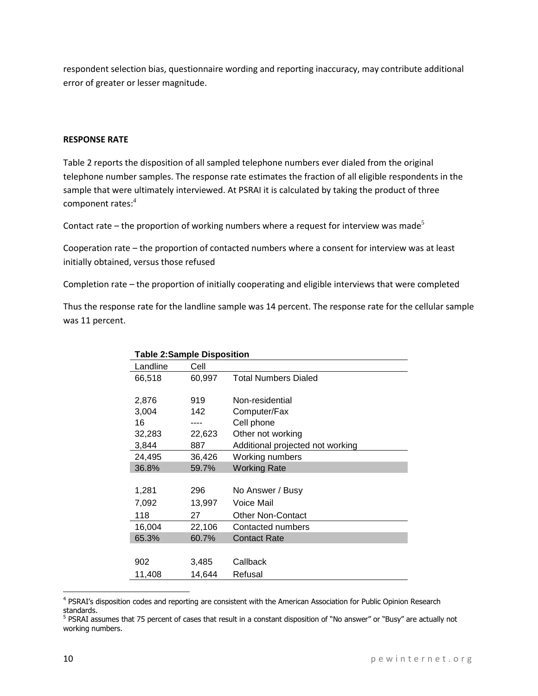respondent selection bias, questionnaire wording and reporting inaccuracy, may contribute additional error of greater or lesser magnitude.

#### **RESPONSE RATE**

Table 2 reports the disposition of all sampled telephone numbers ever dialed from the original telephone number samples. The response rate estimates the fraction of all eligible respondents in the sample that were ultimately interviewed. At PSRAI it is calculated by taking the product of three component rates:<sup>4</sup>

Contact rate – the proportion of working numbers where a request for interview was made<sup>5</sup>

Cooperation rate – the proportion of contacted numbers where a consent for interview was at least initially obtained, versus those refused

Completion rate – the proportion of initially cooperating and eligible interviews that were completed

Thus the response rate for the landline sample was 14 percent. The response rate for the cellular sample was 11 percent.

| <b>Table 2:Sample Disposition</b> |        |                                  |  |  |
|-----------------------------------|--------|----------------------------------|--|--|
| Landline                          | Cell   |                                  |  |  |
| 66,518                            | 60,997 | <b>Total Numbers Dialed</b>      |  |  |
|                                   |        |                                  |  |  |
| 2,876                             | 919    | Non-residential                  |  |  |
| 3,004                             | 142    | Computer/Fax                     |  |  |
| 16                                | ----   | Cell phone                       |  |  |
| 32,283                            | 22,623 | Other not working                |  |  |
| 3,844                             | 887    | Additional projected not working |  |  |
| 24,495                            | 36,426 | Working numbers                  |  |  |
| 36.8%                             | 59.7%  | <b>Working Rate</b>              |  |  |
|                                   |        |                                  |  |  |
| 1,281                             | 296    | No Answer / Busy                 |  |  |
| 7,092                             | 13,997 | Voice Mail                       |  |  |
| 118                               | 27     | <b>Other Non-Contact</b>         |  |  |
| 16,004                            | 22,106 | Contacted numbers                |  |  |
| 65.3%                             | 60.7%  | <b>Contact Rate</b>              |  |  |
|                                   |        |                                  |  |  |
| 902                               | 3,485  | Callback                         |  |  |
| 11,408                            | 14,644 | Refusal                          |  |  |

<sup>&</sup>lt;sup>4</sup> PSRAI's disposition codes and reporting are consistent with the American Association for Public Opinion Research standards.

 $\overline{\phantom{a}}$ 

<sup>&</sup>lt;sup>5</sup> PSRAI assumes that 75 percent of cases that result in a constant disposition of "No answer" or "Busy" are actually not working numbers.